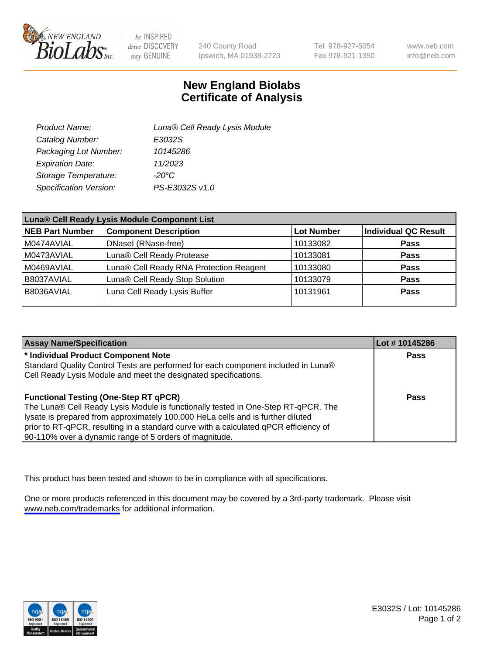

be INSPIRED drive DISCOVERY stay GENUINE

240 County Road Ipswich, MA 01938-2723 Tel 978-927-5054 Fax 978-921-1350

www.neb.com info@neb.com

## **New England Biolabs Certificate of Analysis**

| Product Name:           | Luna® Cell Ready Lysis Module |
|-------------------------|-------------------------------|
| Catalog Number:         | E3032S                        |
| Packaging Lot Number:   | 10145286                      |
| <b>Expiration Date:</b> | 11/2023                       |
| Storage Temperature:    | -20°C                         |
| Specification Version:  | PS-E3032S v1.0                |

| Luna® Cell Ready Lysis Module Component List |                                         |                   |                             |  |
|----------------------------------------------|-----------------------------------------|-------------------|-----------------------------|--|
| NEB Part Number                              | <b>Component Description</b>            | <b>Lot Number</b> | <b>Individual QC Result</b> |  |
| M0474AVIAL                                   | DNasel (RNase-free)                     | 10133082          | <b>Pass</b>                 |  |
| M0473AVIAL                                   | Luna® Cell Ready Protease               | 10133081          | <b>Pass</b>                 |  |
| M0469AVIAL                                   | Luna® Cell Ready RNA Protection Reagent | 10133080          | <b>Pass</b>                 |  |
| B8037AVIAL                                   | Luna® Cell Ready Stop Solution          | 10133079          | <b>Pass</b>                 |  |
| B8036AVIAL                                   | Luna Cell Ready Lysis Buffer            | 10131961          | Pass                        |  |
|                                              |                                         |                   |                             |  |

| <b>Assay Name/Specification</b>                                                      | Lot # 10145286 |
|--------------------------------------------------------------------------------------|----------------|
| <sup>*</sup> Individual Product Component Note                                       | Pass           |
| Standard Quality Control Tests are performed for each component included in Luna®    |                |
| Cell Ready Lysis Module and meet the designated specifications.                      |                |
|                                                                                      |                |
| <b>Functional Testing (One-Step RT qPCR)</b>                                         | Pass           |
| The Luna® Cell Ready Lysis Module is functionally tested in One-Step RT-qPCR. The    |                |
| lysate is prepared from approximately 100,000 HeLa cells and is further diluted      |                |
| prior to RT-qPCR, resulting in a standard curve with a calculated qPCR efficiency of |                |
| 90-110% over a dynamic range of 5 orders of magnitude.                               |                |

This product has been tested and shown to be in compliance with all specifications.

One or more products referenced in this document may be covered by a 3rd-party trademark. Please visit <www.neb.com/trademarks>for additional information.